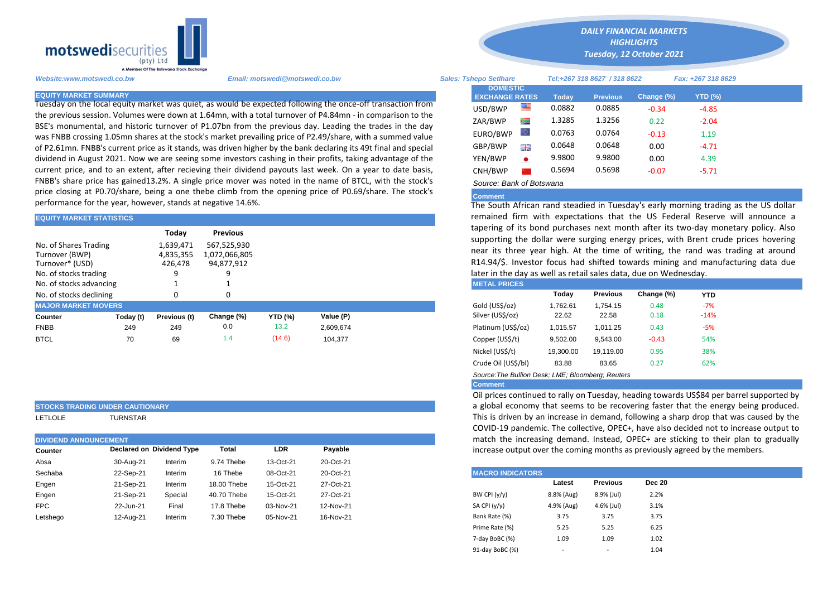

Tuesday on the local equity market was quiet, as would be expected following the once-off transaction from the previous session. Volumes were down at 1.64mn, with a total turnover of P4.84mn - in comparison to the BSE's monumental, and historic turnover of P1.07bn from the previous day. Leading the trades in the day was FNBB crossing 1.05mn shares at the stock's market prevailing price of P2.49/share, with a summed value of P2.61mn. FNBB's current price as it stands, was driven higher by the bank declaring its 49t final and special dividend in August 2021. Now we are seeing some investors cashing in their profits, taking advantage of the current price, and to an extent, after recieving their dividend payouts last week. On a year to date basis, FNBB's share price has gained13.2%. A single price mover was noted in the name of BTCL, with the stock's price closing at P0.70/share, being a one thebe climb from the opening price of P0.69/share. The stock's performance for the year, however, stands at negative 14.6%.

| <b>EQUITY MARKET STATISTICS</b>                            |           |                                            |                                                               |                | remained firm with expectations that the US Federal Reserve w |                                                                  |                                                                                                                                                                                                                                                                                    |                 |            |            |  |
|------------------------------------------------------------|-----------|--------------------------------------------|---------------------------------------------------------------|----------------|---------------------------------------------------------------|------------------------------------------------------------------|------------------------------------------------------------------------------------------------------------------------------------------------------------------------------------------------------------------------------------------------------------------------------------|-----------------|------------|------------|--|
| No. of Shares Trading<br>Turnover (BWP)<br>Turnover* (USD) |           | Today<br>1.639.471<br>4,835,355<br>426.478 | <b>Previous</b><br>567.525.930<br>1,072,066,805<br>94,877,912 |                |                                                               |                                                                  | tapering of its bond purchases next month after its two-day monet<br>supporting the dollar were surging energy prices, with Brent crude<br>near its three year high. At the time of writing, the rand was tra<br>R14.94/\$. Investor focus had shifted towards mining and manufact |                 |            |            |  |
| No. of stocks trading                                      |           |                                            |                                                               |                |                                                               | later in the day as well as retail sales data, due on Wednesday. |                                                                                                                                                                                                                                                                                    |                 |            |            |  |
| No. of stocks advancing                                    |           |                                            |                                                               |                |                                                               | <b>METAL PRICES</b>                                              |                                                                                                                                                                                                                                                                                    |                 |            |            |  |
| No. of stocks declining                                    |           |                                            | 0                                                             |                |                                                               |                                                                  | Today                                                                                                                                                                                                                                                                              | <b>Previous</b> | Change (%) | <b>YTD</b> |  |
| <b>MAJOR MARKET MOVERS</b>                                 |           |                                            |                                                               |                |                                                               | Gold (US\$/oz)                                                   | 1,762.61                                                                                                                                                                                                                                                                           | 1.754.15        | 0.48       | $-7%$      |  |
| Counter                                                    | Today (t) | Previous (t)                               | Change (%)                                                    | <b>YTD (%)</b> | Value (P)                                                     | Silver (US\$/oz)                                                 | 22.62                                                                                                                                                                                                                                                                              | 22.58           | 0.18       | $-14%$     |  |
| <b>FNBB</b>                                                | 249       | 249                                        | 0.0                                                           | 13.2           | 2,609,674                                                     | Platinum (US\$/oz)                                               | 1,015.57                                                                                                                                                                                                                                                                           | 1,011.25        | 0.43       | $-5%$      |  |
| <b>BTCL</b>                                                | 70        | 69                                         | 1.4                                                           | (14.6)         | 104,377                                                       | Copper (US\$/t)                                                  | 9,502.00                                                                                                                                                                                                                                                                           | 9,543.00        | $-0.43$    | 54%        |  |
|                                                            |           |                                            |                                                               |                |                                                               |                                                                  |                                                                                                                                                                                                                                                                                    |                 |            |            |  |

## **STOCKS TRADING UNDER CAUTIONARY**

LETLOLE TURNSTAR

| <b>DIVIDEND ANNOUNCEMENT</b> |           |                           | match the increasing demand. Instead, OPEC+ are |           |           |                                                    |
|------------------------------|-----------|---------------------------|-------------------------------------------------|-----------|-----------|----------------------------------------------------|
| Counter                      |           | Declared on Dividend Type | <b>Total</b>                                    | LDR       | Payable   | increase output over the coming months as previous |
| Absa                         | 30-Aug-21 | Interim                   | 9.74 Thebe                                      | 13-Oct-21 | 20-Oct-21 |                                                    |
| Sechaba                      | 22-Sep-21 | Interim                   | 16 Thebe                                        | 08-Oct-21 | 20-Oct-21 | <b>MACRO INDICATORS</b>                            |
| Engen                        | 21-Sep-21 | Interim                   | 18.00 Thebe                                     | 15-Oct-21 | 27-Oct-21 | Dec 20<br><b>Previous</b><br>Latest                |
| Engen                        | 21-Sep-21 | Special                   | 40.70 Thebe                                     | 15-Oct-21 | 27-Oct-21 | 2.2%<br>BW CPI $(y/y)$<br>8.8% (Aug)<br>8.9% (Jul) |
| <b>FPC</b>                   | 22-Jun-21 | Final                     | 17.8 Thebe                                      | 03-Nov-21 | 12-Nov-21 | SA CPI (y/y)<br>3.1%<br>4.9% (Aug)<br>4.6% (Jul)   |
| Letshego                     | 12-Aug-21 | Interim                   | 7.30 Thebe                                      | 05-Nov-21 | 16-Nov-21 | Bank Rate (%)<br>3.75<br>3.75<br>3.75              |
|                              |           |                           |                                                 |           |           |                                                    |

*Website:www.motswedi.co.bw Email: motswedi@motswedi.co.bw Sales: Tshepo Setlhare Tel:+267 318 8627 / 318 8622 Fax: +267 318 8629*  **EQUITY MARKET SUMMARY Today Previous Change (%) YTD (%)**  $USD/BWP$   $\overline{34}$  0.0882 0.0885 -0.34 -4.85 ZAR/BWP 2 1.3285 1.3256 0.22 -2.04 EURO/BWP 0.0763 0.0764 -0.13 1.19 GBP/BWP **FM** 0.0648 0.0648 0.00 -4.71 YEN/BWP 9.9800 9.9800 0.00 4.39 CNH/BWP **0.5694** 0.5698 -0.07 -5.71 *Source: Bank of Botswana*  **DOMESTIC EXCHANGE RATES**

*DAILY FINANCIAL MARKETS HIGHLIGHTS Tuesday, 12 October 2021* 

## **Comment**

The South African rand steadied in Tuesday's early morning trading as the US dollar remained firm with expectations that the US Federal Reserve will announce a tapering of its bond purchases next month after its two-day monetary policy. Also supporting the dollar were surging energy prices, with Brent crude prices hovering near its three year high. At the time of writing, the rand was trading at around R14.94/\$. Investor focus had shifted towards mining and manufacturing data due later in the day as well as retail sales data, due on Wednesday.

| I METAL PRIUES      |           |                 |            |        |
|---------------------|-----------|-----------------|------------|--------|
|                     | Today     | <b>Previous</b> | Change (%) | YTD    |
| Gold (US\$/oz)      | 1.762.61  | 1.754.15        | 0.48       | $-7%$  |
| Silver (US\$/oz)    | 22.62     | 22.58           | 0.18       | $-14%$ |
| Platinum (US\$/oz)  | 1.015.57  | 1.011.25        | 0.43       | $-5%$  |
| Copper (US\$/t)     | 9,502.00  | 9.543.00        | $-0.43$    | 54%    |
| Nickel (US\$/t)     | 19.300.00 | 19.119.00       | 0.95       | 38%    |
| Crude Oil (US\$/bl) | 83.88     | 83.65           | 0.27       | 62%    |
|                     |           |                 |            |        |

*Source:The Bullion Desk; LME; Bloomberg; Reuters* 

Oil prices continued to rally on Tuesday, heading towards US\$84 per barrel supported by a global economy that seems to be recovering faster that the energy being produced. This is driven by an increase in demand, following a sharp drop that was caused by the COVID-19 pandemic. The collective, OPEC+, have also decided not to increase output to match the increasing demand. Instead, OPEC+ are sticking to their plan to gradually increase output over the coming months as previously agreed by the members.

| <b>MACRO INDICATORS</b> |            |                 |               |
|-------------------------|------------|-----------------|---------------|
|                         | Latest     | <b>Previous</b> | <b>Dec 20</b> |
| BW CPI $(y/y)$          | 8.8% (Aug) | 8.9% (Jul)      | 2.2%          |
| SA CPI (y/y)            | 4.9% (Aug) | 4.6% (Jul)      | 3.1%          |
| Bank Rate (%)           | 3.75       | 3.75            | 3.75          |
| Prime Rate (%)          | 5.25       | 5.25            | 6.25          |
| 7-day BoBC (%)          | 1.09       | 1.09            | 1.02          |
| 91-day BoBC (%)         | ٠          | ٠               | 1.04          |

**Comment**